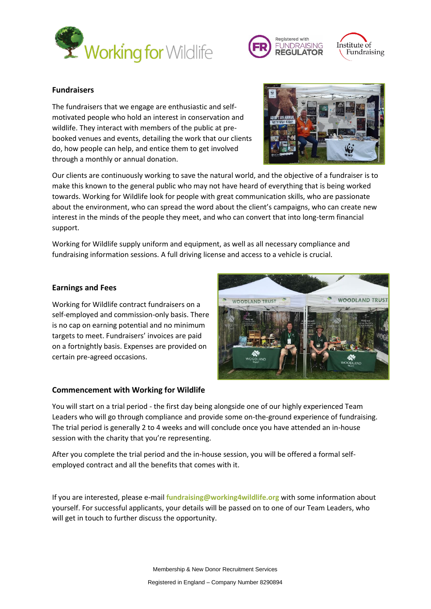





## **Fundraisers**

The fundraisers that we engage are enthusiastic and selfmotivated people who hold an interest in conservation and wildlife. They interact with members of the public at prebooked venues and events, detailing the work that our clients do, how people can help, and entice them to get involved through a monthly or annual donation.



Our clients are continuously working to save the natural world, and the objective of a fundraiser is to make this known to the general public who may not have heard of everything that is being worked towards. Working for Wildlife look for people with great communication skills, who are passionate about the environment, who can spread the word about the client's campaigns, who can create new interest in the minds of the people they meet, and who can convert that into long-term financial support.

Working for Wildlife supply uniform and equipment, as well as all necessary compliance and fundraising information sessions. A full driving license and access to a vehicle is crucial.

## **Earnings and Fees**

Working for Wildlife contract fundraisers on a self-employed and commission-only basis. There is no cap on earning potential and no minimum targets to meet. Fundraisers' invoices are paid on a fortnightly basis. Expenses are provided on certain pre-agreed occasions.



# **Commencement with Working for Wildlife**

You will start on a trial period - the first day being alongside one of our highly experienced Team Leaders who will go through compliance and provide some on-the-ground experience of fundraising. The trial period is generally 2 to 4 weeks and will conclude once you have attended an in-house session with the charity that you're representing.

After you complete the trial period and the in-house session, you will be offered a formal selfemployed contract and all the benefits that comes with it.

If you are interested, please e-mail **fundraising@working4wildlife.org** with some information about yourself. For successful applicants, your details will be passed on to one of our Team Leaders, who will get in touch to further discuss the opportunity.